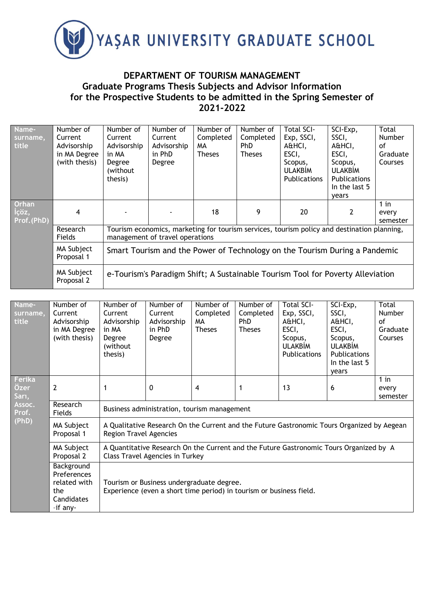

## **DEPARTMENT OF TOURISM MANAGEMENT Graduate Programs Thesis Subjects and Advisor Information for the Prospective Students to be admitted in the Spring Semester of 2021-2022**

| Name-<br>surname,<br>title           | Number of<br>Current<br>Advisorship<br>in MA Degree<br>(with thesis) | Number of<br>Current<br>Advisorship<br>in MA<br>Degree<br>(without<br>thesis)                                                  | Number of<br>Current<br>Advisorship<br>in PhD<br>Degree | Number of<br>Completed<br>MA<br><b>Theses</b> | Number of<br>Completed<br>PhD<br><b>Theses</b> | <b>Total SCI-</b><br>Exp, SSCI,<br>A&HCI,<br>ESCI,<br>Scopus,<br><b>ULAKBİM</b><br><b>Publications</b> | SCI-Exp,<br>SSCI,<br>A&HCI,<br>ESCI,<br>Scopus,<br><b>ULAKBİM</b><br><b>Publications</b><br>In the last 5<br>vears | Total<br><b>Number</b><br>of<br>Graduate<br>Courses |  |
|--------------------------------------|----------------------------------------------------------------------|--------------------------------------------------------------------------------------------------------------------------------|---------------------------------------------------------|-----------------------------------------------|------------------------------------------------|--------------------------------------------------------------------------------------------------------|--------------------------------------------------------------------------------------------------------------------|-----------------------------------------------------|--|
| <b>Orhan</b><br>İçöz,<br>Prof. (PhD) | 4                                                                    |                                                                                                                                |                                                         | 18                                            | 9                                              | 20                                                                                                     |                                                                                                                    | $1$ in<br>every<br>semester                         |  |
|                                      | Research<br><b>Fields</b>                                            | Tourism economics, marketing for tourism services, tourism policy and destination planning,<br>management of travel operations |                                                         |                                               |                                                |                                                                                                        |                                                                                                                    |                                                     |  |
|                                      | MA Subject<br>Proposal 1                                             | Smart Tourism and the Power of Technology on the Tourism During a Pandemic                                                     |                                                         |                                               |                                                |                                                                                                        |                                                                                                                    |                                                     |  |
|                                      | MA Subject<br>Proposal 2                                             | e-Tourism's Paradigm Shift; A Sustainable Tourism Tool for Poverty Alleviation                                                 |                                                         |                                               |                                                |                                                                                                        |                                                                                                                    |                                                     |  |

| Name-<br>surname,<br>title                          | Number of<br>Current<br>Advisorship<br>in MA Degree<br>(with thesis)       | Number of<br>Current<br>Advisorship<br>in MA<br>Degree<br>(without<br>thesis)                                                    | Number of<br>Current<br>Advisorship<br>in PhD<br>Degree | Number of<br>Completed<br>MA.<br><b>Theses</b> | Number of<br>Completed<br><b>PhD</b><br><b>Theses</b> | <b>Total SCI-</b><br>Exp, SSCI,<br>A&HCI,<br>ESCI,<br>Scopus,<br><b>ULAKBIM</b><br><b>Publications</b> | SCI-Exp,<br>SSCI,<br>A&HCI,<br>ESCI,<br>Scopus,<br><b>ULAKBİM</b><br><b>Publications</b><br>In the last 5<br>years | Total<br><b>Number</b><br>of<br>Graduate<br>Courses |  |
|-----------------------------------------------------|----------------------------------------------------------------------------|----------------------------------------------------------------------------------------------------------------------------------|---------------------------------------------------------|------------------------------------------------|-------------------------------------------------------|--------------------------------------------------------------------------------------------------------|--------------------------------------------------------------------------------------------------------------------|-----------------------------------------------------|--|
| Ferika<br>Özer<br>Sarı,<br>Assoc.<br>Prof.<br>(PhD) | $\overline{2}$                                                             |                                                                                                                                  | 0                                                       | 4                                              |                                                       | 13                                                                                                     | 6                                                                                                                  | $1$ in<br>every<br>semester                         |  |
|                                                     | Research<br>Fields                                                         | Business administration, tourism management                                                                                      |                                                         |                                                |                                                       |                                                                                                        |                                                                                                                    |                                                     |  |
|                                                     | MA Subject<br>Proposal 1                                                   | A Qualitative Research On the Current and the Future Gastronomic Tours Organized by Aegean<br><b>Region Travel Agencies</b>      |                                                         |                                                |                                                       |                                                                                                        |                                                                                                                    |                                                     |  |
|                                                     | MA Subject<br>Proposal 2                                                   | A Quantitative Research On the Current and the Future Gastronomic Tours Organized by A<br><b>Class Travel Agencies in Turkey</b> |                                                         |                                                |                                                       |                                                                                                        |                                                                                                                    |                                                     |  |
|                                                     | Background<br>Preferences<br>related with<br>the<br>Candidates<br>-if any- | Tourism or Business undergraduate degree.<br>Experience (even a short time period) in tourism or business field.                 |                                                         |                                                |                                                       |                                                                                                        |                                                                                                                    |                                                     |  |